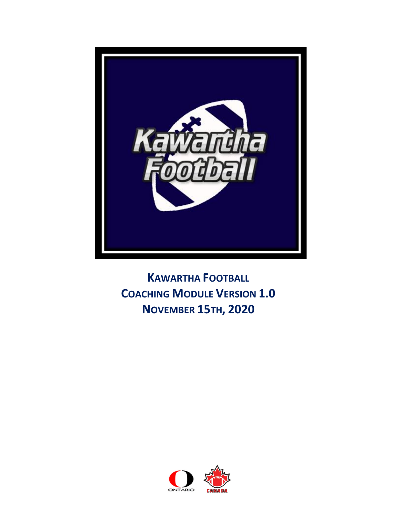

**KAWARTHA FOOTBALL COACHING MODULE VERSION 1.0 NOVEMBER 15TH, 2020** 

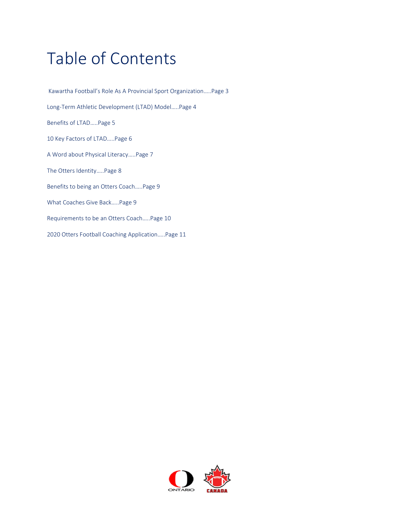# Table of Contents

Kawartha Football's Role As A Provincial Sport Organization…..Page 3 Long-Term Athletic Development (LTAD) Model…..Page 4 Benefits of LTAD…..Page 5 10 Key Factors of LTAD…..Page 6 A Word about Physical Literacy…..Page 7 The Otters Identity…..Page 8 Benefits to being an Otters Coach…..Page 9 What Coaches Give Back…..Page 9 Requirements to be an Otters Coach…..Page 10 2020 Otters Football Coaching Application…..Page 11

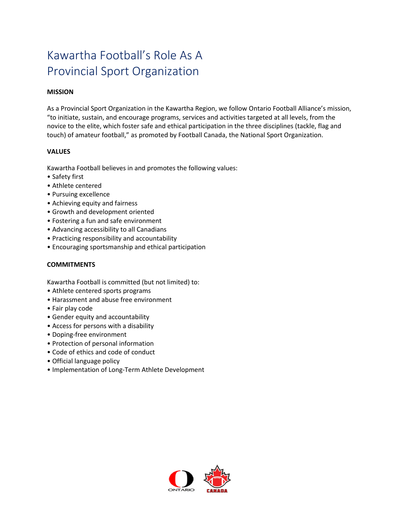### Kawartha Football's Role As A Provincial Sport Organization

#### **MISSION**

As a Provincial Sport Organization in the Kawartha Region, we follow Ontario Football Alliance's mission, "to initiate, sustain, and encourage programs, services and activities targeted at all levels, from the novice to the elite, which foster safe and ethical participation in the three disciplines (tackle, flag and touch) of amateur football," as promoted by Football Canada, the National Sport Organization.

#### **VALUES**

Kawartha Football believes in and promotes the following values:

- Safety first
- Athlete centered
- Pursuing excellence
- Achieving equity and fairness
- Growth and development oriented
- Fostering a fun and safe environment
- Advancing accessibility to all Canadians
- Practicing responsibility and accountability
- Encouraging sportsmanship and ethical participation

#### **COMMITMENTS**

Kawartha Football is committed (but not limited) to:

- Athlete centered sports programs
- Harassment and abuse free environment
- Fair play code
- Gender equity and accountability
- Access for persons with a disability
- Doping-free environment
- Protection of personal information
- Code of ethics and code of conduct
- Official language policy
- Implementation of Long-Term Athlete Development

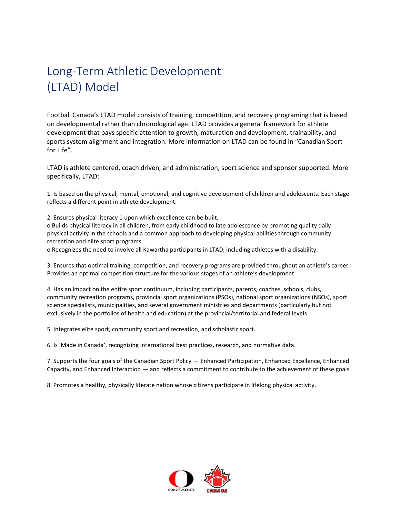### Long-Term Athletic Development (LTAD) Model

Football Canada's LTAD model consists of training, competition, and recovery programing that is based on developmental rather than chronological age. LTAD provides a general framework for athlete development that pays specific attention to growth, maturation and development, trainability, and sports system alignment and integration. More information on LTAD can be found in "Canadian Sport for Life".

LTAD is athlete centered, coach driven, and administration, sport science and sponsor supported. More specifically, LTAD:

1. Is based on the physical, mental, emotional, and cognitive development of children and adolescents. Each stage reflects a different point in athlete development.

2. Ensures physical literacy 1 upon which excellence can be built.

o Builds physical literacy in all children, from early childhood to late adolescence by promoting quality daily physical activity in the schools and a common approach to developing physical abilities through community recreation and elite sport programs.

o Recognizes the need to involve all Kawartha participants in LTAD, including athletes with a disability.

3. Ensures that optimal training, competition, and recovery programs are provided throughout an athlete's career. Provides an optimal competition structure for the various stages of an athlete's development.

4. Has an impact on the entire sport continuum, including participants, parents, coaches, schools, clubs, community recreation programs, provincial sport organizations (PSOs), national sport organizations (NSOs), sport science specialists, municipalities, and several government ministries and departments (particularly but not exclusively in the portfolios of health and education) at the provincial/territorial and federal levels.

5. Integrates elite sport, community sport and recreation, and scholastic sport.

6. Is 'Made in Canada', recognizing international best practices, research, and normative data.

7. Supports the four goals of the Canadian Sport Policy — Enhanced Participation, Enhanced Excellence, Enhanced Capacity, and Enhanced Interaction — and reflects a commitment to contribute to the achievement of these goals.

8. Promotes a healthy, physically literate nation whose citizens participate in lifelong physical activity.

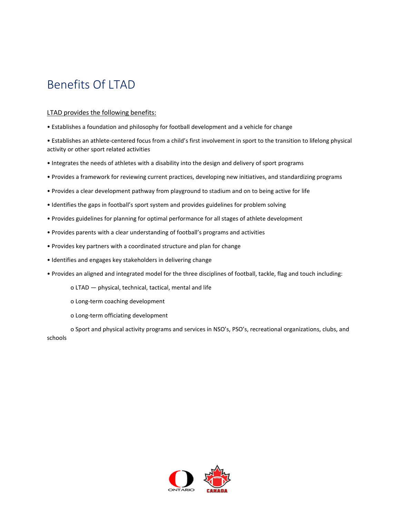### Benefits Of LTAD

#### LTAD provides the following benefits:

• Establishes a foundation and philosophy for football development and a vehicle for change

• Establishes an athlete-centered focus from a child's first involvement in sport to the transition to lifelong physical activity or other sport related activities

- Integrates the needs of athletes with a disability into the design and delivery of sport programs
- Provides a framework for reviewing current practices, developing new initiatives, and standardizing programs
- Provides a clear development pathway from playground to stadium and on to being active for life
- Identifies the gaps in football's sport system and provides guidelines for problem solving
- Provides guidelines for planning for optimal performance for all stages of athlete development
- Provides parents with a clear understanding of football's programs and activities
- Provides key partners with a coordinated structure and plan for change
- Identifies and engages key stakeholders in delivering change
- Provides an aligned and integrated model for the three disciplines of football, tackle, flag and touch including:
	- o LTAD physical, technical, tactical, mental and life
	- o Long-term coaching development
	- o Long-term officiating development

o Sport and physical activity programs and services in NSO's, PSO's, recreational organizations, clubs, and schools

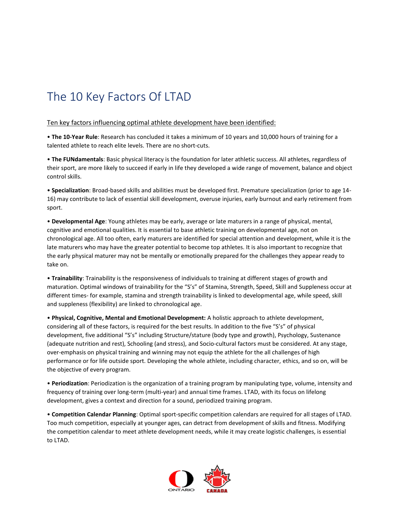### The 10 Key Factors Of LTAD

#### Ten key factors influencing optimal athlete development have been identified:

• **The 10-Year Rule**: Research has concluded it takes a minimum of 10 years and 10,000 hours of training for a talented athlete to reach elite levels. There are no short-cuts.

• **The FUNdamentals**: Basic physical literacy is the foundation for later athletic success. All athletes, regardless of their sport, are more likely to succeed if early in life they developed a wide range of movement, balance and object control skills.

• **Specialization**: Broad-based skills and abilities must be developed first. Premature specialization (prior to age 14- 16) may contribute to lack of essential skill development, overuse injuries, early burnout and early retirement from sport.

• **Developmental Age**: Young athletes may be early, average or late maturers in a range of physical, mental, cognitive and emotional qualities. It is essential to base athletic training on developmental age, not on chronological age. All too often, early maturers are identified for special attention and development, while it is the late maturers who may have the greater potential to become top athletes. It is also important to recognize that the early physical maturer may not be mentally or emotionally prepared for the challenges they appear ready to take on.

• **Trainability**: Trainability is the responsiveness of individuals to training at different stages of growth and maturation. Optimal windows of trainability for the "S's" of Stamina, Strength, Speed, Skill and Suppleness occur at different times- for example, stamina and strength trainability is linked to developmental age, while speed, skill and suppleness (flexibility) are linked to chronological age.

• **Physical, Cognitive, Mental and Emotional Development:** A holistic approach to athlete development, considering all of these factors, is required for the best results. In addition to the five "S's" of physical development, five additional "S's" including Structure/stature (body type and growth), Psychology, Sustenance (adequate nutrition and rest), Schooling (and stress), and Socio-cultural factors must be considered. At any stage, over-emphasis on physical training and winning may not equip the athlete for the all challenges of high performance or for life outside sport. Developing the whole athlete, including character, ethics, and so on, will be the objective of every program.

• **Periodization**: Periodization is the organization of a training program by manipulating type, volume, intensity and frequency of training over long-term (multi-year) and annual time frames. LTAD, with its focus on lifelong development, gives a context and direction for a sound, periodized training program.

• **Competition Calendar Planning**: Optimal sport-specific competition calendars are required for all stages of LTAD. Too much competition, especially at younger ages, can detract from development of skills and fitness. Modifying the competition calendar to meet athlete development needs, while it may create logistic challenges, is essential to LTAD.

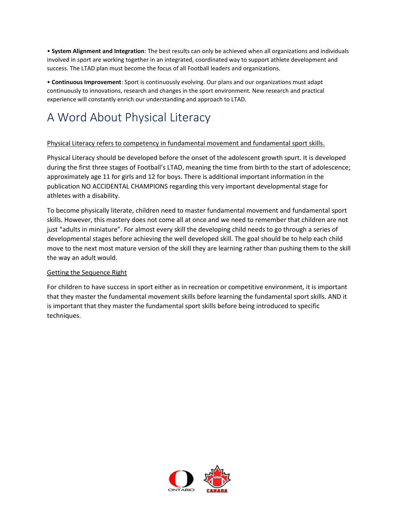• **System Alignment and Integration**: The best results can only be achieved when all organizations and individuals involved in sport are working together in an integrated, coordinated way to support athlete development and success. The LTAD plan must become the focus of all Football leaders and organizations.

• **Continuous Improvement**: Sport is continuously evolving. Our plans and our organizations must adapt continuously to innovations, research and changes in the sport environment. New research and practical experience will constantly enrich our understanding and approach to LTAD.

### A Word About Physical Literacy

#### Physical Literacy refers to competency in fundamental movement and fundamental sport skills.

Physical Literacy should be developed before the onset of the adolescent growth spurt. It is developed during the first three stages of Football's LTAD, meaning the time from birth to the start of adolescence; approximately age 11 for girls and 12 for boys. There is additional important information in the publication NO ACCIDENTAL CHAMPIONS regarding this very important developmental stage for athletes with a disability.

To become physically literate, children need to master fundamental movement and fundamental sport skills. However, this mastery does not come all at once and we need to remember that children are not just "adults in miniature". For almost every skill the developing child needs to go through a series of developmental stages before achieving the well developed skill. The goal should be to help each child move to the next most mature version of the skill they are learning rather than pushing them to the skill the way an adult would.

#### Getting the Sequence Right

For children to have success in sport either as in recreation or competitive environment, it is important that they master the fundamental movement skills before learning the fundamental sport skills. AND it is important that they master the fundamental sport skills before being introduced to specific techniques.

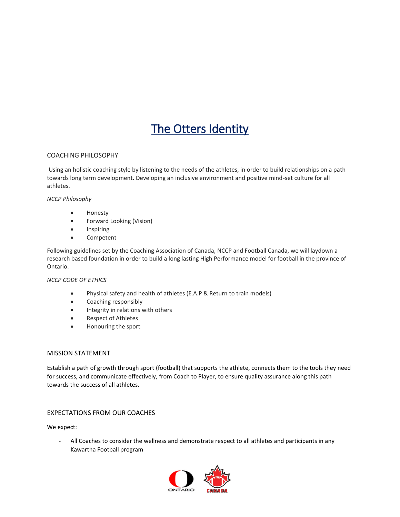### The Otters Identity

#### COACHING PHILOSOPHY

Using an holistic coaching style by listening to the needs of the athletes, in order to build relationships on a path towards long term development. Developing an inclusive environment and positive mind-set culture for all athletes.

#### *NCCP Philosophy*

- Honesty
- Forward Looking (Vision)
- Inspiring
- Competent

Following guidelines set by the Coaching Association of Canada, NCCP and Football Canada, we will laydown a research based foundation in order to build a long lasting High Performance model for football in the province of Ontario.

#### *NCCP CODE OF ETHICS*

- Physical safety and health of athletes (E.A.P & Return to train models)
- Coaching responsibly
- Integrity in relations with others
- Respect of Athletes
- Honouring the sport

#### MISSION STATEMENT

Establish a path of growth through sport (football) that supports the athlete, connects them to the tools they need for success, and communicate effectively, from Coach to Player, to ensure quality assurance along this path towards the success of all athletes.

#### EXPECTATIONS FROM OUR COACHES

We expect:

All Coaches to consider the wellness and demonstrate respect to all athletes and participants in any Kawartha Football program

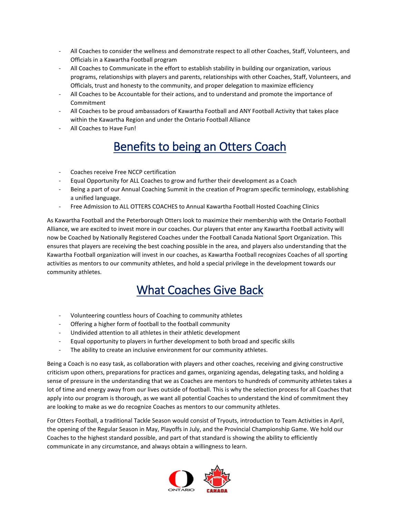- All Coaches to consider the wellness and demonstrate respect to all other Coaches, Staff, Volunteers, and Officials in a Kawartha Football program
- All Coaches to Communicate in the effort to establish stability in building our organization, various programs, relationships with players and parents, relationships with other Coaches, Staff, Volunteers, and Officials, trust and honesty to the community, and proper delegation to maximize efficiency
- All Coaches to be Accountable for their actions, and to understand and promote the importance of Commitment
- All Coaches to be proud ambassadors of Kawartha Football and ANY Football Activity that takes place within the Kawartha Region and under the Ontario Football Alliance
- All Coaches to Have Fun!

### Benefits to being an Otters Coach

- Coaches receive Free NCCP certification
- Equal Opportunity for ALL Coaches to grow and further their development as a Coach
- Being a part of our Annual Coaching Summit in the creation of Program specific terminology, establishing a unified language.
- Free Admission to ALL OTTERS COACHES to Annual Kawartha Football Hosted Coaching Clinics

As Kawartha Football and the Peterborough Otters look to maximize their membership with the Ontario Football Alliance, we are excited to invest more in our coaches. Our players that enter any Kawartha Football activity will now be Coached by Nationally Registered Coaches under the Football Canada National Sport Organization. This ensures that players are receiving the best coaching possible in the area, and players also understanding that the Kawartha Football organization will invest in our coaches, as Kawartha Football recognizes Coaches of all sporting activities as mentors to our community athletes, and hold a special privilege in the development towards our community athletes.

### What Coaches Give Back

- Volunteering countless hours of Coaching to community athletes
- Offering a higher form of football to the football community
- Undivided attention to all athletes in their athletic development
- Equal opportunity to players in further development to both broad and specific skills
- The ability to create an inclusive environment for our community athletes.

Being a Coach is no easy task, as collaboration with players and other coaches, receiving and giving constructive criticism upon others, preparations for practices and games, organizing agendas, delegating tasks, and holding a sense of pressure in the understanding that we as Coaches are mentors to hundreds of community athletes takes a lot of time and energy away from our lives outside of football. This is why the selection process for all Coaches that apply into our program is thorough, as we want all potential Coaches to understand the kind of commitment they are looking to make as we do recognize Coaches as mentors to our community athletes.

For Otters Football, a traditional Tackle Season would consist of Tryouts, introduction to Team Activities in April, the opening of the Regular Season in May, Playoffs in July, and the Provincial Championship Game. We hold our Coaches to the highest standard possible, and part of that standard is showing the ability to efficiently communicate in any circumstance, and always obtain a willingness to learn.

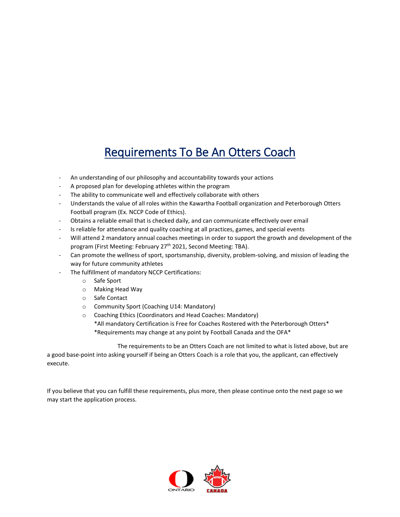### Requirements To Be An Otters Coach

- An understanding of our philosophy and accountability towards your actions
- A proposed plan for developing athletes within the program
- The ability to communicate well and effectively collaborate with others
- Understands the value of all roles within the Kawartha Football organization and Peterborough Otters Football program (Ex. NCCP Code of Ethics).
- Obtains a reliable email that is checked daily, and can communicate effectively over email
- Is reliable for attendance and quality coaching at all practices, games, and special events
- Will attend 2 mandatory annual coaches meetings in order to support the growth and development of the program (First Meeting: February 27<sup>th</sup> 2021, Second Meeting: TBA).
- Can promote the wellness of sport, sportsmanship, diversity, problem-solving, and mission of leading the way for future community athletes
- The fulfillment of mandatory NCCP Certifications:
	- o Safe Sport
	- o Making Head Way
	- o Safe Contact
	- o Community Sport (Coaching U14: Mandatory)
	- o Coaching Ethics (Coordinators and Head Coaches: Mandatory) \*All mandatory Certification is Free for Coaches Rostered with the Peterborough Otters\* \*Requirements may change at any point by Football Canada and the OFA\*

The requirements to be an Otters Coach are not limited to what is listed above, but are a good base-point into asking yourself if being an Otters Coach is a role that you, the applicant, can effectively execute.

If you believe that you can fulfill these requirements, plus more, then please continue onto the next page so we may start the application process.

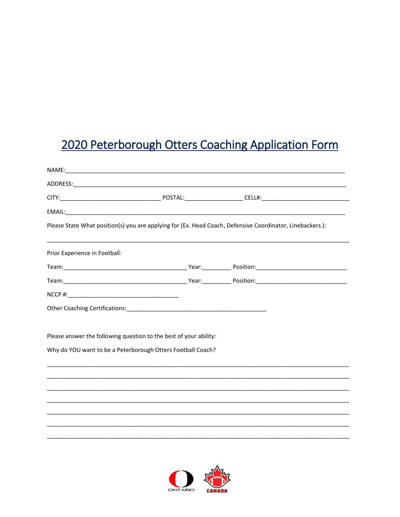## 2020 Peterborough Otters Coaching Application Form

| Please State What position(s) you are applying for (Ex. Head Coach, Defensive Coordinator, Linebackers.): |  |  |  |
|-----------------------------------------------------------------------------------------------------------|--|--|--|
| Prior Experience in Football:                                                                             |  |  |  |
|                                                                                                           |  |  |  |
|                                                                                                           |  |  |  |
|                                                                                                           |  |  |  |
|                                                                                                           |  |  |  |
| Please answer the following question to the best of your ability:                                         |  |  |  |
| Why do YOU want to be a Peterborough Otters Football Coach?                                               |  |  |  |
|                                                                                                           |  |  |  |
|                                                                                                           |  |  |  |
|                                                                                                           |  |  |  |
|                                                                                                           |  |  |  |
|                                                                                                           |  |  |  |
|                                                                                                           |  |  |  |